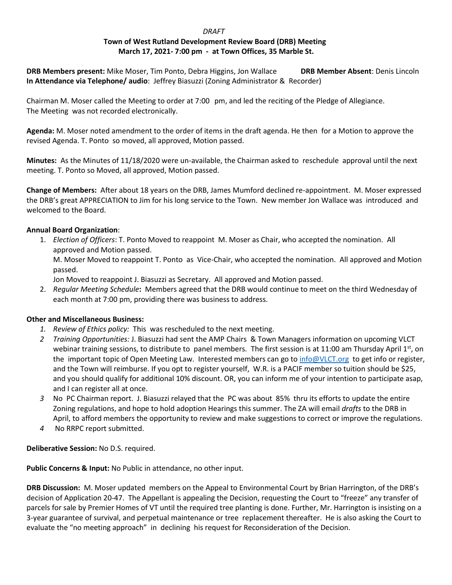## *DRAFT*  **Town of West Rutland Development Review Board (DRB) Meeting March 17, 2021- 7:00 pm - at Town Offices, 35 Marble St.**

**DRB Members present:** Mike Moser, Tim Ponto, Debra Higgins, Jon Wallace **DRB Member Absent**: Denis Lincoln **In Attendance via Telephone/ audio**: Jeffrey Biasuzzi (Zoning Administrator & Recorder)

Chairman M. Moser called the Meeting to order at 7:00 pm, and led the reciting of the Pledge of Allegiance. The Meeting was not recorded electronically.

**Agenda:** M. Moser noted amendment to the order of items in the draft agenda. He then for a Motion to approve the revised Agenda. T. Ponto so moved, all approved, Motion passed.

**Minutes:** As the Minutes of 11/18/2020 were un-available, the Chairman asked to reschedule approval until the next meeting. T. Ponto so Moved, all approved, Motion passed.

**Change of Members:** After about 18 years on the DRB, James Mumford declined re-appointment. M. Moser expressed the DRB's great APPRECIATION to Jim for his long service to the Town. New member Jon Wallace was introduced and welcomed to the Board.

## **Annual Board Organization**:

1. *Election of Officers*: T. Ponto Moved to reappoint M. Moser as Chair, who accepted the nomination. All approved and Motion passed. M. Moser Moved to reappoint T. Ponto as Vice-Chair, who accepted the nomination. All approved and Motion passed.

Jon Moved to reappoint J. Biasuzzi as Secretary. All approved and Motion passed.

2. *Regular Meeting Schedule***:** Members agreed that the DRB would continue to meet on the third Wednesday of each month at 7:00 pm, providing there was business to address.

## **Other and Miscellaneous Business:**

- *1. Review of Ethics policy:* Thiswas rescheduled to the next meeting.
- *2 Training Opportunities:* J. Biasuzzi had sent the AMP Chairs & Town Managers information on upcoming VLCT webinar training sessions, to distribute to panel members. The first session is at 11:00 am Thursday April  $1^{st}$ , on the important topic of Open Meeting Law. Interested members can go t[o info@VLCT.org](mailto:info@VLCT.org) to get info or register, and the Town will reimburse. If you opt to register yourself, W.R. is a PACIF member so tuition should be \$25, and you should qualify for additional 10% discount. OR, you can inform me of your intention to participate asap, and I can register all at once.
- *3* No PC Chairman report. J. Biasuzzi relayed that the PC was about 85% thru its efforts to update the entire Zoning regulations, and hope to hold adoption Hearings this summer. The ZA will email *drafts* to the DRB in April, to afford members the opportunity to review and make suggestions to correct or improve the regulations.
- *4* No RRPC report submitted.

**Deliberative Session:** No D.S. required.

**Public Concerns & Input:** No Public in attendance, no other input.

**DRB Discussion:** M. Moser updated members on the Appeal to Environmental Court by Brian Harrington, of the DRB's decision of Application 20-47. The Appellant is appealing the Decision, requesting the Court to "freeze" any transfer of parcels for sale by Premier Homes of VT until the required tree planting is done. Further, Mr. Harrington is insisting on a 3-year guarantee of survival, and perpetual maintenance or tree replacement thereafter. He is also asking the Court to evaluate the "no meeting approach" in declining his request for Reconsideration of the Decision.